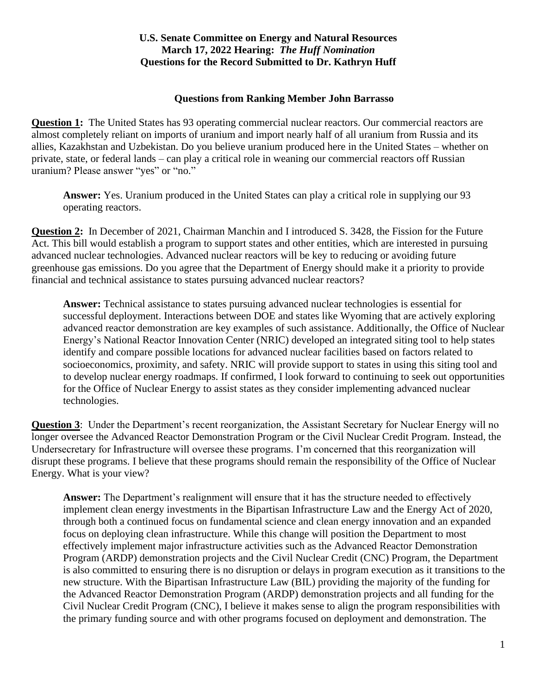### **Questions from Ranking Member John Barrasso**

**Question 1:** The United States has 93 operating commercial nuclear reactors. Our commercial reactors are almost completely reliant on imports of uranium and import nearly half of all uranium from Russia and its allies, Kazakhstan and Uzbekistan. Do you believe uranium produced here in the United States – whether on private, state, or federal lands – can play a critical role in weaning our commercial reactors off Russian uranium? Please answer "yes" or "no."

**Answer:** Yes. Uranium produced in the United States can play a critical role in supplying our 93 operating reactors.

**Question 2:** In December of 2021, Chairman Manchin and I introduced S. 3428, the Fission for the Future Act. This bill would establish a program to support states and other entities, which are interested in pursuing advanced nuclear technologies. Advanced nuclear reactors will be key to reducing or avoiding future greenhouse gas emissions. Do you agree that the Department of Energy should make it a priority to provide financial and technical assistance to states pursuing advanced nuclear reactors?

**Answer:** Technical assistance to states pursuing advanced nuclear technologies is essential for successful deployment. Interactions between DOE and states like Wyoming that are actively exploring advanced reactor demonstration are key examples of such assistance. Additionally, the Office of Nuclear Energy's National Reactor Innovation Center (NRIC) developed an integrated siting tool to help states identify and compare possible locations for advanced nuclear facilities based on factors related to socioeconomics, proximity, and safety. NRIC will provide support to states in using this siting tool and to develop nuclear energy roadmaps. If confirmed, I look forward to continuing to seek out opportunities for the Office of Nuclear Energy to assist states as they consider implementing advanced nuclear technologies.

**Question 3**: Under the Department's recent reorganization, the Assistant Secretary for Nuclear Energy will no longer oversee the Advanced Reactor Demonstration Program or the Civil Nuclear Credit Program. Instead, the Undersecretary for Infrastructure will oversee these programs. I'm concerned that this reorganization will disrupt these programs. I believe that these programs should remain the responsibility of the Office of Nuclear Energy. What is your view?

**Answer:** The Department's realignment will ensure that it has the structure needed to effectively implement clean energy investments in the Bipartisan Infrastructure Law and the Energy Act of 2020, through both a continued focus on fundamental science and clean energy innovation and an expanded focus on deploying clean infrastructure. While this change will position the Department to most effectively implement major infrastructure activities such as the Advanced Reactor Demonstration Program (ARDP) demonstration projects and the Civil Nuclear Credit (CNC) Program, the Department is also committed to ensuring there is no disruption or delays in program execution as it transitions to the new structure. With the Bipartisan Infrastructure Law (BIL) providing the majority of the funding for the Advanced Reactor Demonstration Program (ARDP) demonstration projects and all funding for the Civil Nuclear Credit Program (CNC), I believe it makes sense to align the program responsibilities with the primary funding source and with other programs focused on deployment and demonstration. The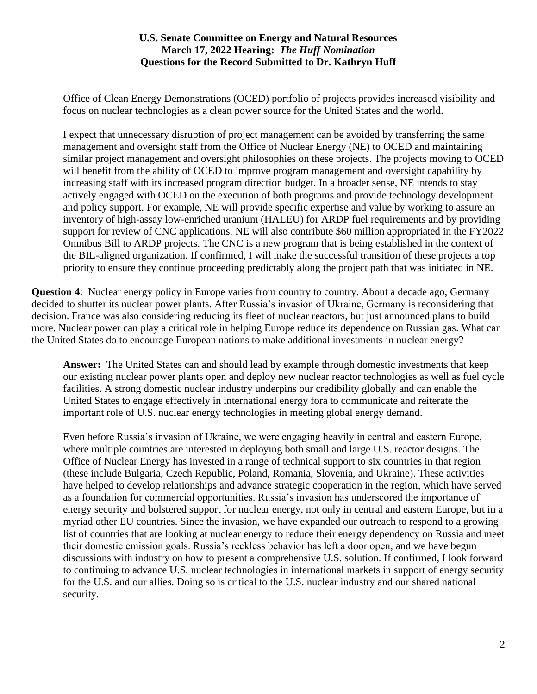Office of Clean Energy Demonstrations (OCED) portfolio of projects provides increased visibility and focus on nuclear technologies as a clean power source for the United States and the world.

I expect that unnecessary disruption of project management can be avoided by transferring the same management and oversight staff from the Office of Nuclear Energy (NE) to OCED and maintaining similar project management and oversight philosophies on these projects. The projects moving to OCED will benefit from the ability of OCED to improve program management and oversight capability by increasing staff with its increased program direction budget. In a broader sense, NE intends to stay actively engaged with OCED on the execution of both programs and provide technology development and policy support. For example, NE will provide specific expertise and value by working to assure an inventory of high-assay low-enriched uranium (HALEU) for ARDP fuel requirements and by providing support for review of CNC applications. NE will also contribute \$60 million appropriated in the FY2022 Omnibus Bill to ARDP projects. The CNC is a new program that is being established in the context of the BIL-aligned organization. If confirmed, I will make the successful transition of these projects a top priority to ensure they continue proceeding predictably along the project path that was initiated in NE.

**Question 4:** Nuclear energy policy in Europe varies from country to country. About a decade ago, Germany decided to shutter its nuclear power plants. After Russia's invasion of Ukraine, Germany is reconsidering that decision. France was also considering reducing its fleet of nuclear reactors, but just announced plans to build more. Nuclear power can play a critical role in helping Europe reduce its dependence on Russian gas. What can the United States do to encourage European nations to make additional investments in nuclear energy?

**Answer:** The United States can and should lead by example through domestic investments that keep our existing nuclear power plants open and deploy new nuclear reactor technologies as well as fuel cycle facilities. A strong domestic nuclear industry underpins our credibility globally and can enable the United States to engage effectively in international energy fora to communicate and reiterate the important role of U.S. nuclear energy technologies in meeting global energy demand.

Even before Russia's invasion of Ukraine, we were engaging heavily in central and eastern Europe, where multiple countries are interested in deploying both small and large U.S. reactor designs. The Office of Nuclear Energy has invested in a range of technical support to six countries in that region (these include Bulgaria, Czech Republic, Poland, Romania, Slovenia, and Ukraine). These activities have helped to develop relationships and advance strategic cooperation in the region, which have served as a foundation for commercial opportunities. Russia's invasion has underscored the importance of energy security and bolstered support for nuclear energy, not only in central and eastern Europe, but in a myriad other EU countries. Since the invasion, we have expanded our outreach to respond to a growing list of countries that are looking at nuclear energy to reduce their energy dependency on Russia and meet their domestic emission goals. Russia's reckless behavior has left a door open, and we have begun discussions with industry on how to present a comprehensive U.S. solution. If confirmed, I look forward to continuing to advance U.S. nuclear technologies in international markets in support of energy security for the U.S. and our allies. Doing so is critical to the U.S. nuclear industry and our shared national security.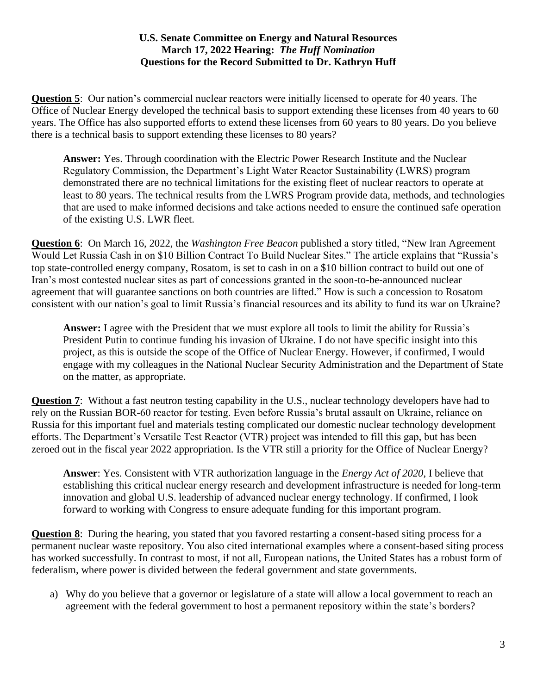**Question 5**: Our nation's commercial nuclear reactors were initially licensed to operate for 40 years. The Office of Nuclear Energy developed the technical basis to support extending these licenses from 40 years to 60 years. The Office has also supported efforts to extend these licenses from 60 years to 80 years. Do you believe there is a technical basis to support extending these licenses to 80 years?

**Answer:** Yes. Through coordination with the Electric Power Research Institute and the Nuclear Regulatory Commission, the Department's Light Water Reactor Sustainability (LWRS) program demonstrated there are no technical limitations for the existing fleet of nuclear reactors to operate at least to 80 years. The technical results from the LWRS Program provide data, methods, and technologies that are used to make informed decisions and take actions needed to ensure the continued safe operation of the existing U.S. LWR fleet.

**Question 6**: On March 16, 2022, the *Washington Free Beacon* published a story titled, "New Iran Agreement Would Let Russia Cash in on \$10 Billion Contract To Build Nuclear Sites." The article explains that "Russia's top state-controlled energy company, Rosatom, is set to cash in on a \$10 billion contract to build out one of Iran's most contested nuclear sites as part of concessions granted in the soon-to-be-announced nuclear agreement that will guarantee sanctions on both countries are lifted." How is such a concession to Rosatom consistent with our nation's goal to limit Russia's financial resources and its ability to fund its war on Ukraine?

**Answer:** I agree with the President that we must explore all tools to limit the ability for Russia's President Putin to continue funding his invasion of Ukraine. I do not have specific insight into this project, as this is outside the scope of the Office of Nuclear Energy. However, if confirmed, I would engage with my colleagues in the National Nuclear Security Administration and the Department of State on the matter, as appropriate.

**Question 7:** Without a fast neutron testing capability in the U.S., nuclear technology developers have had to rely on the Russian BOR-60 reactor for testing. Even before Russia's brutal assault on Ukraine, reliance on Russia for this important fuel and materials testing complicated our domestic nuclear technology development efforts. The Department's Versatile Test Reactor (VTR) project was intended to fill this gap, but has been zeroed out in the fiscal year 2022 appropriation. Is the VTR still a priority for the Office of Nuclear Energy?

**Answer**: Yes. Consistent with VTR authorization language in the *Energy Act of 2020*, I believe that establishing this critical nuclear energy research and development infrastructure is needed for long-term innovation and global U.S. leadership of advanced nuclear energy technology. If confirmed, I look forward to working with Congress to ensure adequate funding for this important program.

**Question 8:** During the hearing, you stated that you favored restarting a consent-based siting process for a permanent nuclear waste repository. You also cited international examples where a consent-based siting process has worked successfully. In contrast to most, if not all, European nations, the United States has a robust form of federalism, where power is divided between the federal government and state governments.

a) Why do you believe that a governor or legislature of a state will allow a local government to reach an agreement with the federal government to host a permanent repository within the state's borders?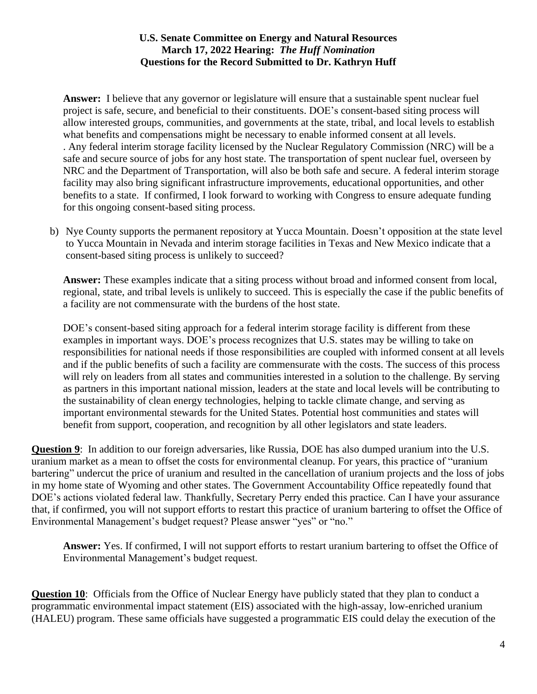**Answer:** I believe that any governor or legislature will ensure that a sustainable spent nuclear fuel project is safe, secure, and beneficial to their constituents. DOE's consent-based siting process will allow interested groups, communities, and governments at the state, tribal, and local levels to establish what benefits and compensations might be necessary to enable informed consent at all levels. . Any federal interim storage facility licensed by the Nuclear Regulatory Commission (NRC) will be a safe and secure source of jobs for any host state. The transportation of spent nuclear fuel, overseen by NRC and the Department of Transportation, will also be both safe and secure. A federal interim storage facility may also bring significant infrastructure improvements, educational opportunities, and other benefits to a state. If confirmed, I look forward to working with Congress to ensure adequate funding for this ongoing consent-based siting process.

b) Nye County supports the permanent repository at Yucca Mountain. Doesn't opposition at the state level to Yucca Mountain in Nevada and interim storage facilities in Texas and New Mexico indicate that a consent-based siting process is unlikely to succeed?

**Answer:** These examples indicate that a siting process without broad and informed consent from local, regional, state, and tribal levels is unlikely to succeed. This is especially the case if the public benefits of a facility are not commensurate with the burdens of the host state.

DOE's consent-based siting approach for a federal interim storage facility is different from these examples in important ways. DOE's process recognizes that U.S. states may be willing to take on responsibilities for national needs if those responsibilities are coupled with informed consent at all levels and if the public benefits of such a facility are commensurate with the costs. The success of this process will rely on leaders from all states and communities interested in a solution to the challenge. By serving as partners in this important national mission, leaders at the state and local levels will be contributing to the sustainability of clean energy technologies, helping to tackle climate change, and serving as important environmental stewards for the United States. Potential host communities and states will benefit from support, cooperation, and recognition by all other legislators and state leaders.

**Question 9**: In addition to our foreign adversaries, like Russia, DOE has also dumped uranium into the U.S. uranium market as a mean to offset the costs for environmental cleanup. For years, this practice of "uranium bartering" undercut the price of uranium and resulted in the cancellation of uranium projects and the loss of jobs in my home state of Wyoming and other states. The Government Accountability Office repeatedly found that DOE's actions violated federal law. Thankfully, Secretary Perry ended this practice. Can I have your assurance that, if confirmed, you will not support efforts to restart this practice of uranium bartering to offset the Office of Environmental Management's budget request? Please answer "yes" or "no."

**Answer:** Yes. If confirmed, I will not support efforts to restart uranium bartering to offset the Office of Environmental Management's budget request.

**Question 10:** Officials from the Office of Nuclear Energy have publicly stated that they plan to conduct a programmatic environmental impact statement (EIS) associated with the high-assay, low-enriched uranium (HALEU) program. These same officials have suggested a programmatic EIS could delay the execution of the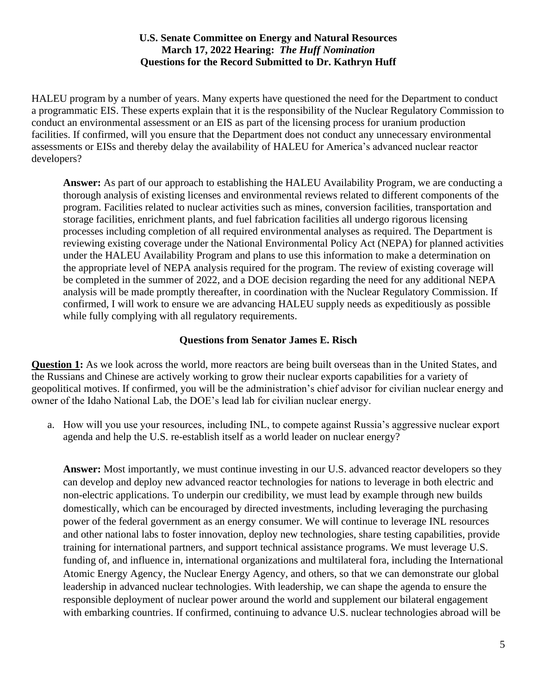HALEU program by a number of years. Many experts have questioned the need for the Department to conduct a programmatic EIS. These experts explain that it is the responsibility of the Nuclear Regulatory Commission to conduct an environmental assessment or an EIS as part of the licensing process for uranium production facilities. If confirmed, will you ensure that the Department does not conduct any unnecessary environmental assessments or EISs and thereby delay the availability of HALEU for America's advanced nuclear reactor developers?

**Answer:** As part of our approach to establishing the HALEU Availability Program, we are conducting a thorough analysis of existing licenses and environmental reviews related to different components of the program. Facilities related to nuclear activities such as mines, conversion facilities, transportation and storage facilities, enrichment plants, and fuel fabrication facilities all undergo rigorous licensing processes including completion of all required environmental analyses as required. The Department is reviewing existing coverage under the National Environmental Policy Act (NEPA) for planned activities under the HALEU Availability Program and plans to use this information to make a determination on the appropriate level of NEPA analysis required for the program. The review of existing coverage will be completed in the summer of 2022, and a DOE decision regarding the need for any additional NEPA analysis will be made promptly thereafter, in coordination with the Nuclear Regulatory Commission. If confirmed, I will work to ensure we are advancing HALEU supply needs as expeditiously as possible while fully complying with all regulatory requirements.

# **Questions from Senator James E. Risch**

**Question 1:** As we look across the world, more reactors are being built overseas than in the United States, and the Russians and Chinese are actively working to grow their nuclear exports capabilities for a variety of geopolitical motives. If confirmed, you will be the administration's chief advisor for civilian nuclear energy and owner of the Idaho National Lab, the DOE's lead lab for civilian nuclear energy.

a. How will you use your resources, including INL, to compete against Russia's aggressive nuclear export agenda and help the U.S. re-establish itself as a world leader on nuclear energy?

**Answer:** Most importantly, we must continue investing in our U.S. advanced reactor developers so they can develop and deploy new advanced reactor technologies for nations to leverage in both electric and non-electric applications. To underpin our credibility, we must lead by example through new builds domestically, which can be encouraged by directed investments, including leveraging the purchasing power of the federal government as an energy consumer. We will continue to leverage INL resources and other national labs to foster innovation, deploy new technologies, share testing capabilities, provide training for international partners, and support technical assistance programs. We must leverage U.S. funding of, and influence in, international organizations and multilateral fora, including the International Atomic Energy Agency, the Nuclear Energy Agency, and others, so that we can demonstrate our global leadership in advanced nuclear technologies. With leadership, we can shape the agenda to ensure the responsible deployment of nuclear power around the world and supplement our bilateral engagement with embarking countries. If confirmed, continuing to advance U.S. nuclear technologies abroad will be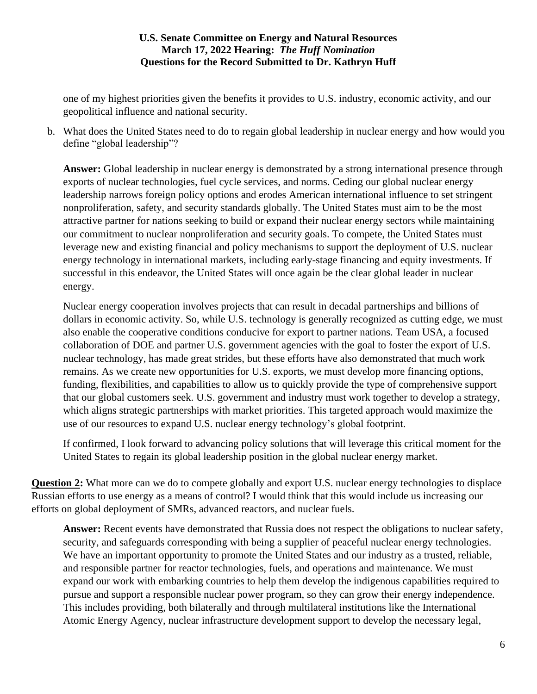one of my highest priorities given the benefits it provides to U.S. industry, economic activity, and our geopolitical influence and national security.

b. What does the United States need to do to regain global leadership in nuclear energy and how would you define "global leadership"?

Answer: Global leadership in nuclear energy is demonstrated by a strong international presence through exports of nuclear technologies, fuel cycle services, and norms. Ceding our global nuclear energy leadership narrows foreign policy options and erodes American international influence to set stringent nonproliferation, safety, and security standards globally. The United States must aim to be the most attractive partner for nations seeking to build or expand their nuclear energy sectors while maintaining our commitment to nuclear nonproliferation and security goals. To compete, the United States must leverage new and existing financial and policy mechanisms to support the deployment of U.S. nuclear energy technology in international markets, including early-stage financing and equity investments. If successful in this endeavor, the United States will once again be the clear global leader in nuclear energy.

Nuclear energy cooperation involves projects that can result in decadal partnerships and billions of dollars in economic activity. So, while U.S. technology is generally recognized as cutting edge, we must also enable the cooperative conditions conducive for export to partner nations. Team USA, a focused collaboration of DOE and partner U.S. government agencies with the goal to foster the export of U.S. nuclear technology, has made great strides, but these efforts have also demonstrated that much work remains. As we create new opportunities for U.S. exports, we must develop more financing options, funding, flexibilities, and capabilities to allow us to quickly provide the type of comprehensive support that our global customers seek. U.S. government and industry must work together to develop a strategy, which aligns strategic partnerships with market priorities. This targeted approach would maximize the use of our resources to expand U.S. nuclear energy technology's global footprint.

If confirmed, I look forward to advancing policy solutions that will leverage this critical moment for the United States to regain its global leadership position in the global nuclear energy market.

**Question 2:** What more can we do to compete globally and export U.S. nuclear energy technologies to displace Russian efforts to use energy as a means of control? I would think that this would include us increasing our efforts on global deployment of SMRs, advanced reactors, and nuclear fuels.

**Answer:** Recent events have demonstrated that Russia does not respect the obligations to nuclear safety, security, and safeguards corresponding with being a supplier of peaceful nuclear energy technologies. We have an important opportunity to promote the United States and our industry as a trusted, reliable, and responsible partner for reactor technologies, fuels, and operations and maintenance. We must expand our work with embarking countries to help them develop the indigenous capabilities required to pursue and support a responsible nuclear power program, so they can grow their energy independence. This includes providing, both bilaterally and through multilateral institutions like the International Atomic Energy Agency, nuclear infrastructure development support to develop the necessary legal,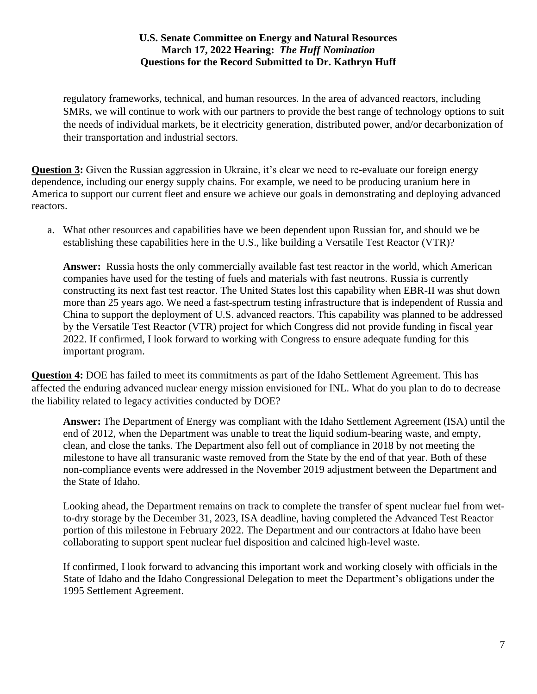regulatory frameworks, technical, and human resources. In the area of advanced reactors, including SMRs, we will continue to work with our partners to provide the best range of technology options to suit the needs of individual markets, be it electricity generation, distributed power, and/or decarbonization of their transportation and industrial sectors.

**Question 3:** Given the Russian aggression in Ukraine, it's clear we need to re-evaluate our foreign energy dependence, including our energy supply chains. For example, we need to be producing uranium here in America to support our current fleet and ensure we achieve our goals in demonstrating and deploying advanced reactors.

a. What other resources and capabilities have we been dependent upon Russian for, and should we be establishing these capabilities here in the U.S., like building a Versatile Test Reactor (VTR)?

**Answer:** Russia hosts the only commercially available fast test reactor in the world, which American companies have used for the testing of fuels and materials with fast neutrons. Russia is currently constructing its next fast test reactor. The United States lost this capability when EBR-II was shut down more than 25 years ago. We need a fast-spectrum testing infrastructure that is independent of Russia and China to support the deployment of U.S. advanced reactors. This capability was planned to be addressed by the Versatile Test Reactor (VTR) project for which Congress did not provide funding in fiscal year 2022. If confirmed, I look forward to working with Congress to ensure adequate funding for this important program.

**Question 4:** DOE has failed to meet its commitments as part of the Idaho Settlement Agreement. This has affected the enduring advanced nuclear energy mission envisioned for INL. What do you plan to do to decrease the liability related to legacy activities conducted by DOE?

**Answer:** The Department of Energy was compliant with the Idaho Settlement Agreement (ISA) until the end of 2012, when the Department was unable to treat the liquid sodium-bearing waste, and empty, clean, and close the tanks. The Department also fell out of compliance in 2018 by not meeting the milestone to have all transuranic waste removed from the State by the end of that year. Both of these non-compliance events were addressed in the November 2019 adjustment between the Department and the State of Idaho.

Looking ahead, the Department remains on track to complete the transfer of spent nuclear fuel from wetto-dry storage by the December 31, 2023, ISA deadline, having completed the Advanced Test Reactor portion of this milestone in February 2022. The Department and our contractors at Idaho have been collaborating to support spent nuclear fuel disposition and calcined high-level waste.

If confirmed, I look forward to advancing this important work and working closely with officials in the State of Idaho and the Idaho Congressional Delegation to meet the Department's obligations under the 1995 Settlement Agreement.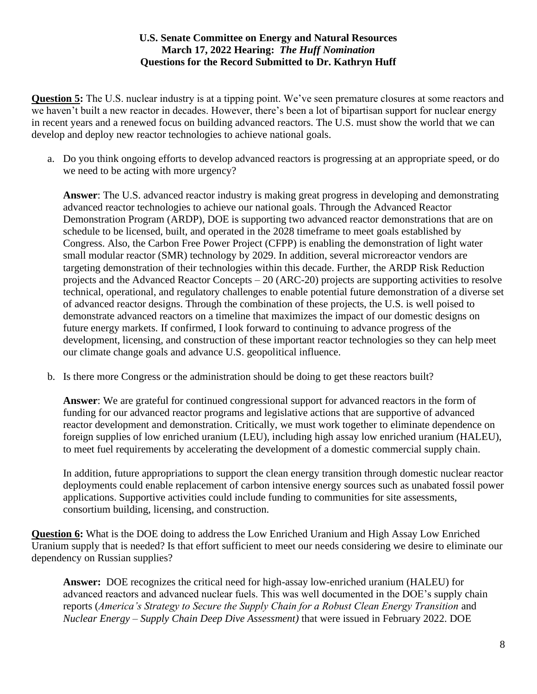**Question 5:** The U.S. nuclear industry is at a tipping point. We've seen premature closures at some reactors and we haven't built a new reactor in decades. However, there's been a lot of bipartisan support for nuclear energy in recent years and a renewed focus on building advanced reactors. The U.S. must show the world that we can develop and deploy new reactor technologies to achieve national goals.

a. Do you think ongoing efforts to develop advanced reactors is progressing at an appropriate speed, or do we need to be acting with more urgency?

**Answer**: The U.S. advanced reactor industry is making great progress in developing and demonstrating advanced reactor technologies to achieve our national goals. Through the Advanced Reactor Demonstration Program (ARDP), DOE is supporting two advanced reactor demonstrations that are on schedule to be licensed, built, and operated in the 2028 timeframe to meet goals established by Congress. Also, the Carbon Free Power Project (CFPP) is enabling the demonstration of light water small modular reactor (SMR) technology by 2029. In addition, several microreactor vendors are targeting demonstration of their technologies within this decade. Further, the ARDP Risk Reduction projects and the Advanced Reactor Concepts – 20 (ARC-20) projects are supporting activities to resolve technical, operational, and regulatory challenges to enable potential future demonstration of a diverse set of advanced reactor designs. Through the combination of these projects, the U.S. is well poised to demonstrate advanced reactors on a timeline that maximizes the impact of our domestic designs on future energy markets. If confirmed, I look forward to continuing to advance progress of the development, licensing, and construction of these important reactor technologies so they can help meet our climate change goals and advance U.S. geopolitical influence.

b. Is there more Congress or the administration should be doing to get these reactors built?

**Answer**: We are grateful for continued congressional support for advanced reactors in the form of funding for our advanced reactor programs and legislative actions that are supportive of advanced reactor development and demonstration. Critically, we must work together to eliminate dependence on foreign supplies of low enriched uranium (LEU), including high assay low enriched uranium (HALEU), to meet fuel requirements by accelerating the development of a domestic commercial supply chain.

In addition, future appropriations to support the clean energy transition through domestic nuclear reactor deployments could enable replacement of carbon intensive energy sources such as unabated fossil power applications. Supportive activities could include funding to communities for site assessments, consortium building, licensing, and construction.

**Question 6:** What is the DOE doing to address the Low Enriched Uranium and High Assay Low Enriched Uranium supply that is needed? Is that effort sufficient to meet our needs considering we desire to eliminate our dependency on Russian supplies?

**Answer:** DOE recognizes the critical need for high-assay low-enriched uranium (HALEU) for advanced reactors and advanced nuclear fuels. This was well documented in the DOE's supply chain reports (*America's Strategy to Secure the Supply Chain for a Robust Clean Energy Transition* and *Nuclear Energy – Supply Chain Deep Dive Assessment)* that were issued in February 2022. DOE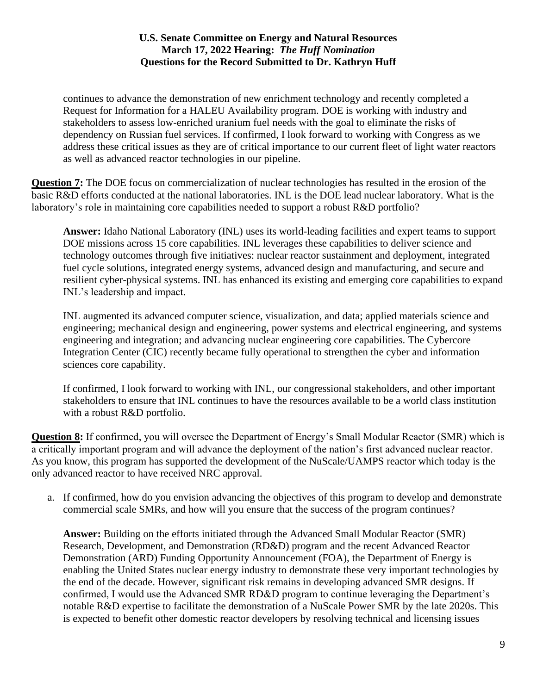continues to advance the demonstration of new enrichment technology and recently completed a Request for Information for a HALEU Availability program. DOE is working with industry and stakeholders to assess low-enriched uranium fuel needs with the goal to eliminate the risks of dependency on Russian fuel services. If confirmed, I look forward to working with Congress as we address these critical issues as they are of critical importance to our current fleet of light water reactors as well as advanced reactor technologies in our pipeline.

**Question 7:** The DOE focus on commercialization of nuclear technologies has resulted in the erosion of the basic R&D efforts conducted at the national laboratories. INL is the DOE lead nuclear laboratory. What is the laboratory's role in maintaining core capabilities needed to support a robust R&D portfolio?

**Answer:** Idaho National Laboratory (INL) uses its world-leading facilities and expert teams to support DOE missions across 15 core capabilities. INL leverages these capabilities to deliver science and technology outcomes through five initiatives: nuclear reactor sustainment and deployment, integrated fuel cycle solutions, integrated energy systems, advanced design and manufacturing, and secure and resilient cyber-physical systems. INL has enhanced its existing and emerging core capabilities to expand INL's leadership and impact.

INL augmented its advanced computer science, visualization, and data; applied materials science and engineering; mechanical design and engineering, power systems and electrical engineering, and systems engineering and integration; and advancing nuclear engineering core capabilities. The Cybercore Integration Center (CIC) recently became fully operational to strengthen the cyber and information sciences core capability.

If confirmed, I look forward to working with INL, our congressional stakeholders, and other important stakeholders to ensure that INL continues to have the resources available to be a world class institution with a robust R&D portfolio.

**Question 8:** If confirmed, you will oversee the Department of Energy's Small Modular Reactor (SMR) which is a critically important program and will advance the deployment of the nation's first advanced nuclear reactor. As you know, this program has supported the development of the NuScale/UAMPS reactor which today is the only advanced reactor to have received NRC approval.

a. If confirmed, how do you envision advancing the objectives of this program to develop and demonstrate commercial scale SMRs, and how will you ensure that the success of the program continues?

**Answer:** Building on the efforts initiated through the Advanced Small Modular Reactor (SMR) Research, Development, and Demonstration (RD&D) program and the recent Advanced Reactor Demonstration (ARD) Funding Opportunity Announcement (FOA), the Department of Energy is enabling the United States nuclear energy industry to demonstrate these very important technologies by the end of the decade. However, significant risk remains in developing advanced SMR designs. If confirmed, I would use the Advanced SMR RD&D program to continue leveraging the Department's notable R&D expertise to facilitate the demonstration of a NuScale Power SMR by the late 2020s. This is expected to benefit other domestic reactor developers by resolving technical and licensing issues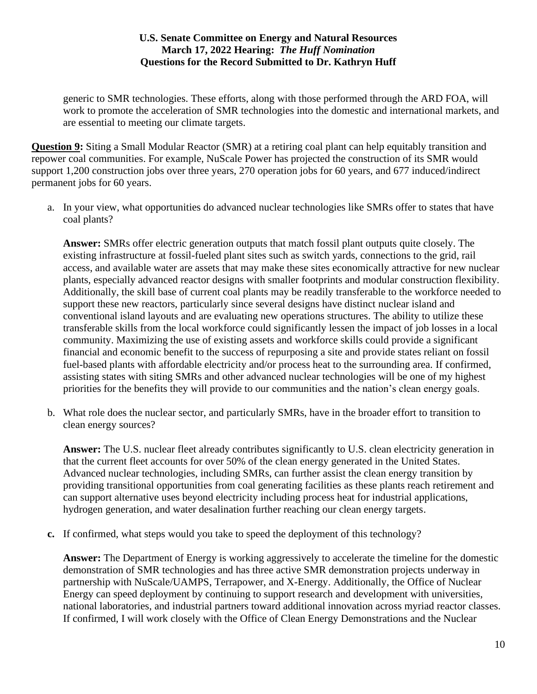generic to SMR technologies. These efforts, along with those performed through the ARD FOA, will work to promote the acceleration of SMR technologies into the domestic and international markets, and are essential to meeting our climate targets.

**Question 9:** Siting a Small Modular Reactor (SMR) at a retiring coal plant can help equitably transition and repower coal communities. For example, NuScale Power has projected the construction of its SMR would support 1,200 construction jobs over three years, 270 operation jobs for 60 years, and 677 induced/indirect permanent jobs for 60 years.

a. In your view, what opportunities do advanced nuclear technologies like SMRs offer to states that have coal plants?

**Answer:** SMRs offer electric generation outputs that match fossil plant outputs quite closely. The existing infrastructure at fossil-fueled plant sites such as switch yards, connections to the grid, rail access, and available water are assets that may make these sites economically attractive for new nuclear plants, especially advanced reactor designs with smaller footprints and modular construction flexibility. Additionally, the skill base of current coal plants may be readily transferable to the workforce needed to support these new reactors, particularly since several designs have distinct nuclear island and conventional island layouts and are evaluating new operations structures. The ability to utilize these transferable skills from the local workforce could significantly lessen the impact of job losses in a local community. Maximizing the use of existing assets and workforce skills could provide a significant financial and economic benefit to the success of repurposing a site and provide states reliant on fossil fuel-based plants with affordable electricity and/or process heat to the surrounding area. If confirmed, assisting states with siting SMRs and other advanced nuclear technologies will be one of my highest priorities for the benefits they will provide to our communities and the nation's clean energy goals.

b. What role does the nuclear sector, and particularly SMRs, have in the broader effort to transition to clean energy sources?

**Answer:** The U.S. nuclear fleet already contributes significantly to U.S. clean electricity generation in that the current fleet accounts for over 50% of the clean energy generated in the United States. Advanced nuclear technologies, including SMRs, can further assist the clean energy transition by providing transitional opportunities from coal generating facilities as these plants reach retirement and can support alternative uses beyond electricity including process heat for industrial applications, hydrogen generation, and water desalination further reaching our clean energy targets.

**c.** If confirmed, what steps would you take to speed the deployment of this technology?

**Answer:** The Department of Energy is working aggressively to accelerate the timeline for the domestic demonstration of SMR technologies and has three active SMR demonstration projects underway in partnership with NuScale/UAMPS, Terrapower, and X-Energy. Additionally, the Office of Nuclear Energy can speed deployment by continuing to support research and development with universities, national laboratories, and industrial partners toward additional innovation across myriad reactor classes. If confirmed, I will work closely with the Office of Clean Energy Demonstrations and the Nuclear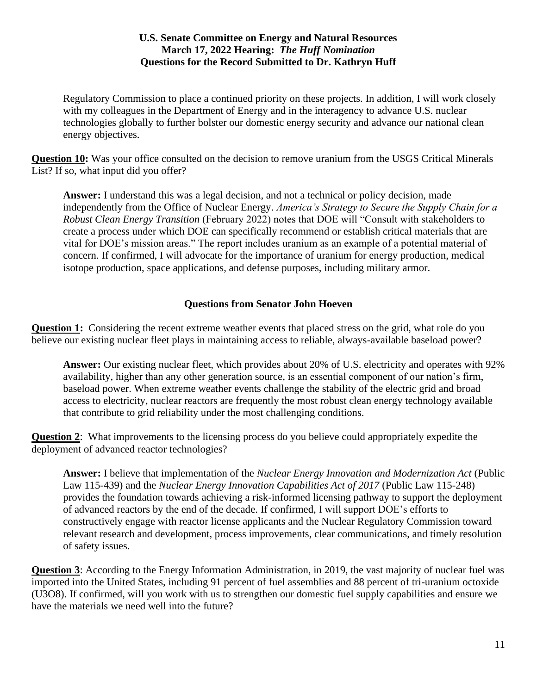Regulatory Commission to place a continued priority on these projects. In addition, I will work closely with my colleagues in the Department of Energy and in the interagency to advance U.S. nuclear technologies globally to further bolster our domestic energy security and advance our national clean energy objectives.

**Question 10:** Was your office consulted on the decision to remove uranium from the USGS Critical Minerals List? If so, what input did you offer?

**Answer:** I understand this was a legal decision, and not a technical or policy decision, made independently from the Office of Nuclear Energy. *America's Strategy to Secure the Supply Chain for a Robust Clean Energy Transition* (February 2022) notes that DOE will "Consult with stakeholders to create a process under which DOE can specifically recommend or establish critical materials that are vital for DOE's mission areas." The report includes uranium as an example of a potential material of concern. If confirmed, I will advocate for the importance of uranium for energy production, medical isotope production, space applications, and defense purposes, including military armor.

# **Questions from Senator John Hoeven**

**Question 1:** Considering the recent extreme weather events that placed stress on the grid, what role do you believe our existing nuclear fleet plays in maintaining access to reliable, always-available baseload power?

**Answer:** Our existing nuclear fleet, which provides about 20% of U.S. electricity and operates with 92% availability, higher than any other generation source, is an essential component of our nation's firm, baseload power. When extreme weather events challenge the stability of the electric grid and broad access to electricity, nuclear reactors are frequently the most robust clean energy technology available that contribute to grid reliability under the most challenging conditions.

**Question 2**: What improvements to the licensing process do you believe could appropriately expedite the deployment of advanced reactor technologies?

**Answer:** I believe that implementation of the *Nuclear Energy Innovation and Modernization Act* (Public Law 115-439) and the *Nuclear Energy Innovation Capabilities Act of 2017* (Public Law 115-248) provides the foundation towards achieving a risk-informed licensing pathway to support the deployment of advanced reactors by the end of the decade. If confirmed, I will support DOE's efforts to constructively engage with reactor license applicants and the Nuclear Regulatory Commission toward relevant research and development, process improvements, clear communications, and timely resolution of safety issues.

**Question 3**: According to the Energy Information Administration, in 2019, the vast majority of nuclear fuel was imported into the United States, including 91 percent of fuel assemblies and 88 percent of tri-uranium octoxide (U3O8). If confirmed, will you work with us to strengthen our domestic fuel supply capabilities and ensure we have the materials we need well into the future?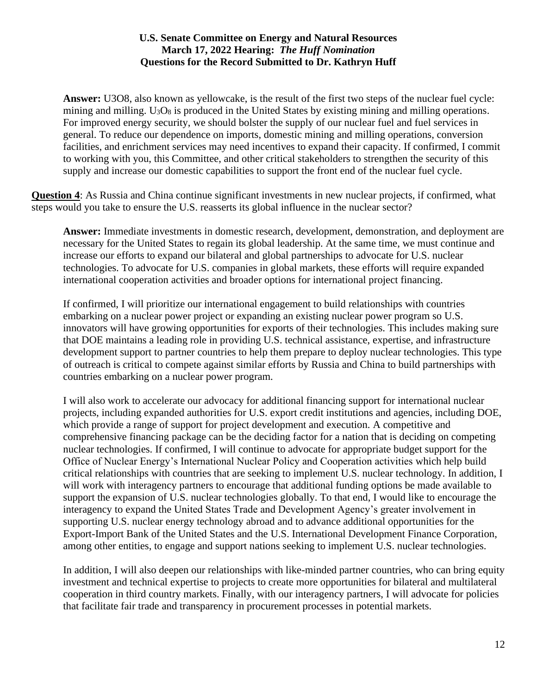**Answer:** U3O8, also known as yellowcake, is the result of the first two steps of the nuclear fuel cycle: mining and milling.  $U_3O_8$  is produced in the United States by existing mining and milling operations. For improved energy security, we should bolster the supply of our nuclear fuel and fuel services in general. To reduce our dependence on imports, domestic mining and milling operations, conversion facilities, and enrichment services may need incentives to expand their capacity. If confirmed, I commit to working with you, this Committee, and other critical stakeholders to strengthen the security of this supply and increase our domestic capabilities to support the front end of the nuclear fuel cycle.

**Question 4**: As Russia and China continue significant investments in new nuclear projects, if confirmed, what steps would you take to ensure the U.S. reasserts its global influence in the nuclear sector?

**Answer:** Immediate investments in domestic research, development, demonstration, and deployment are necessary for the United States to regain its global leadership. At the same time, we must continue and increase our efforts to expand our bilateral and global partnerships to advocate for U.S. nuclear technologies. To advocate for U.S. companies in global markets, these efforts will require expanded international cooperation activities and broader options for international project financing.

If confirmed, I will prioritize our international engagement to build relationships with countries embarking on a nuclear power project or expanding an existing nuclear power program so U.S. innovators will have growing opportunities for exports of their technologies. This includes making sure that DOE maintains a leading role in providing U.S. technical assistance, expertise, and infrastructure development support to partner countries to help them prepare to deploy nuclear technologies. This type of outreach is critical to compete against similar efforts by Russia and China to build partnerships with countries embarking on a nuclear power program.

I will also work to accelerate our advocacy for additional financing support for international nuclear projects, including expanded authorities for U.S. export credit institutions and agencies, including DOE, which provide a range of support for project development and execution. A competitive and comprehensive financing package can be the deciding factor for a nation that is deciding on competing nuclear technologies. If confirmed, I will continue to advocate for appropriate budget support for the Office of Nuclear Energy's International Nuclear Policy and Cooperation activities which help build critical relationships with countries that are seeking to implement U.S. nuclear technology. In addition, I will work with interagency partners to encourage that additional funding options be made available to support the expansion of U.S. nuclear technologies globally. To that end, I would like to encourage the interagency to expand the United States Trade and Development Agency's greater involvement in supporting U.S. nuclear energy technology abroad and to advance additional opportunities for the Export-Import Bank of the United States and the U.S. International Development Finance Corporation, among other entities, to engage and support nations seeking to implement U.S. nuclear technologies.

In addition, I will also deepen our relationships with like-minded partner countries, who can bring equity investment and technical expertise to projects to create more opportunities for bilateral and multilateral cooperation in third country markets. Finally, with our interagency partners, I will advocate for policies that facilitate fair trade and transparency in procurement processes in potential markets.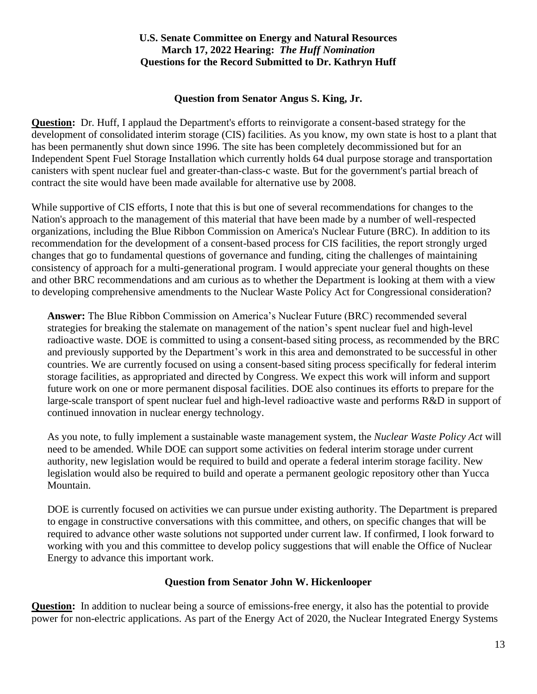## **Question from Senator Angus S. King, Jr.**

**Question:** Dr. Huff, I applaud the Department's efforts to reinvigorate a consent-based strategy for the development of consolidated interim storage (CIS) facilities. As you know, my own state is host to a plant that has been permanently shut down since 1996. The site has been completely decommissioned but for an Independent Spent Fuel Storage Installation which currently holds 64 dual purpose storage and transportation canisters with spent nuclear fuel and greater-than-class-c waste. But for the government's partial breach of contract the site would have been made available for alternative use by 2008.

While supportive of CIS efforts, I note that this is but one of several recommendations for changes to the Nation's approach to the management of this material that have been made by a number of well-respected organizations, including the Blue Ribbon Commission on America's Nuclear Future (BRC). In addition to its recommendation for the development of a consent-based process for CIS facilities, the report strongly urged changes that go to fundamental questions of governance and funding, citing the challenges of maintaining consistency of approach for a multi-generational program. I would appreciate your general thoughts on these and other BRC recommendations and am curious as to whether the Department is looking at them with a view to developing comprehensive amendments to the Nuclear Waste Policy Act for Congressional consideration?

**Answer:** The Blue Ribbon Commission on America's Nuclear Future (BRC) recommended several strategies for breaking the stalemate on management of the nation's spent nuclear fuel and high-level radioactive waste. DOE is committed to using a consent-based siting process, as recommended by the BRC and previously supported by the Department's work in this area and demonstrated to be successful in other countries. We are currently focused on using a consent-based siting process specifically for federal interim storage facilities, as appropriated and directed by Congress. We expect this work will inform and support future work on one or more permanent disposal facilities. DOE also continues its efforts to prepare for the large-scale transport of spent nuclear fuel and high-level radioactive waste and performs R&D in support of continued innovation in nuclear energy technology.

As you note, to fully implement a sustainable waste management system, the *Nuclear Waste Policy Act* will need to be amended. While DOE can support some activities on federal interim storage under current authority, new legislation would be required to build and operate a federal interim storage facility. New legislation would also be required to build and operate a permanent geologic repository other than Yucca Mountain.

DOE is currently focused on activities we can pursue under existing authority. The Department is prepared to engage in constructive conversations with this committee, and others, on specific changes that will be required to advance other waste solutions not supported under current law. If confirmed, I look forward to working with you and this committee to develop policy suggestions that will enable the Office of Nuclear Energy to advance this important work.

# **Question from Senator John W. Hickenlooper**

**Question:** In addition to nuclear being a source of emissions-free energy, it also has the potential to provide power for non-electric applications. As part of the Energy Act of 2020, the Nuclear Integrated Energy Systems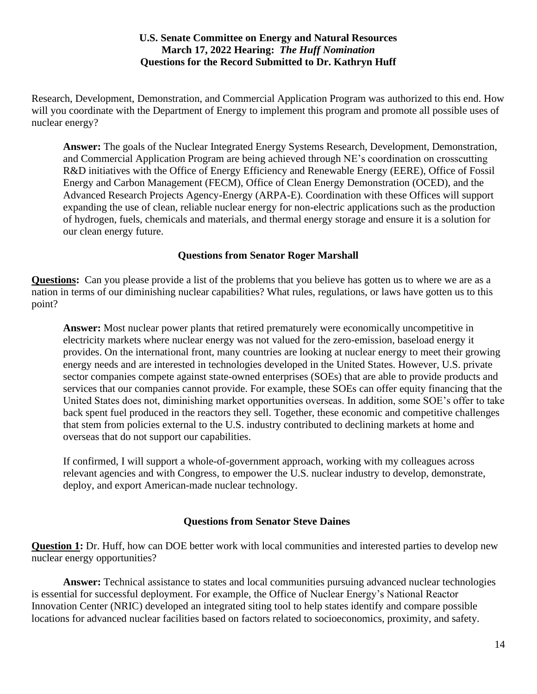Research, Development, Demonstration, and Commercial Application Program was authorized to this end. How will you coordinate with the Department of Energy to implement this program and promote all possible uses of nuclear energy?

**Answer:** The goals of the Nuclear Integrated Energy Systems Research, Development, Demonstration, and Commercial Application Program are being achieved through NE's coordination on crosscutting R&D initiatives with the Office of Energy Efficiency and Renewable Energy (EERE), Office of Fossil Energy and Carbon Management (FECM), Office of Clean Energy Demonstration (OCED), and the Advanced Research Projects Agency-Energy (ARPA-E). Coordination with these Offices will support expanding the use of clean, reliable nuclear energy for non-electric applications such as the production of hydrogen, fuels, chemicals and materials, and thermal energy storage and ensure it is a solution for our clean energy future.

# **Questions from Senator Roger Marshall**

**Questions:** Can you please provide a list of the problems that you believe has gotten us to where we are as a nation in terms of our diminishing nuclear capabilities? What rules, regulations, or laws have gotten us to this point?

**Answer:** Most nuclear power plants that retired prematurely were economically uncompetitive in electricity markets where nuclear energy was not valued for the zero-emission, baseload energy it provides. On the international front, many countries are looking at nuclear energy to meet their growing energy needs and are interested in technologies developed in the United States. However, U.S. private sector companies compete against state-owned enterprises (SOEs) that are able to provide products and services that our companies cannot provide. For example, these SOEs can offer equity financing that the United States does not, diminishing market opportunities overseas. In addition, some SOE's offer to take back spent fuel produced in the reactors they sell. Together, these economic and competitive challenges that stem from policies external to the U.S. industry contributed to declining markets at home and overseas that do not support our capabilities.

If confirmed, I will support a whole-of-government approach, working with my colleagues across relevant agencies and with Congress, to empower the U.S. nuclear industry to develop, demonstrate, deploy, and export American-made nuclear technology.

# **Questions from Senator Steve Daines**

**Question 1:** Dr. Huff, how can DOE better work with local communities and interested parties to develop new nuclear energy opportunities?

**Answer:** Technical assistance to states and local communities pursuing advanced nuclear technologies is essential for successful deployment. For example, the Office of Nuclear Energy's National Reactor Innovation Center (NRIC) developed an integrated siting tool to help states identify and compare possible locations for advanced nuclear facilities based on factors related to socioeconomics, proximity, and safety.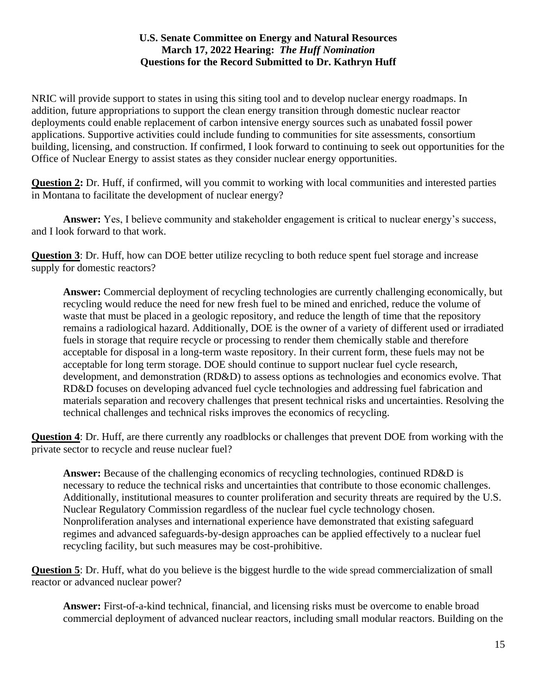NRIC will provide support to states in using this siting tool and to develop nuclear energy roadmaps. In addition, future appropriations to support the clean energy transition through domestic nuclear reactor deployments could enable replacement of carbon intensive energy sources such as unabated fossil power applications. Supportive activities could include funding to communities for site assessments, consortium building, licensing, and construction. If confirmed, I look forward to continuing to seek out opportunities for the Office of Nuclear Energy to assist states as they consider nuclear energy opportunities.

**Question 2:** Dr. Huff, if confirmed, will you commit to working with local communities and interested parties in Montana to facilitate the development of nuclear energy?

**Answer:** Yes, I believe community and stakeholder engagement is critical to nuclear energy's success, and I look forward to that work.

**Question 3**: Dr. Huff, how can DOE better utilize recycling to both reduce spent fuel storage and increase supply for domestic reactors?

**Answer:** Commercial deployment of recycling technologies are currently challenging economically, but recycling would reduce the need for new fresh fuel to be mined and enriched, reduce the volume of waste that must be placed in a geologic repository, and reduce the length of time that the repository remains a radiological hazard. Additionally, DOE is the owner of a variety of different used or irradiated fuels in storage that require recycle or processing to render them chemically stable and therefore acceptable for disposal in a long-term waste repository. In their current form, these fuels may not be acceptable for long term storage. DOE should continue to support nuclear fuel cycle research, development, and demonstration (RD&D) to assess options as technologies and economics evolve. That RD&D focuses on developing advanced fuel cycle technologies and addressing fuel fabrication and materials separation and recovery challenges that present technical risks and uncertainties. Resolving the technical challenges and technical risks improves the economics of recycling.

**Question 4**: Dr. Huff, are there currently any roadblocks or challenges that prevent DOE from working with the private sector to recycle and reuse nuclear fuel?

**Answer:** Because of the challenging economics of recycling technologies, continued RD&D is necessary to reduce the technical risks and uncertainties that contribute to those economic challenges. Additionally, institutional measures to counter proliferation and security threats are required by the U.S. Nuclear Regulatory Commission regardless of the nuclear fuel cycle technology chosen. Nonproliferation analyses and international experience have demonstrated that existing safeguard regimes and advanced safeguards-by-design approaches can be applied effectively to a nuclear fuel recycling facility, but such measures may be cost-prohibitive.

**Question 5**: Dr. Huff, what do you believe is the biggest hurdle to the wide spread commercialization of small reactor or advanced nuclear power?

**Answer:** First-of-a-kind technical, financial, and licensing risks must be overcome to enable broad commercial deployment of advanced nuclear reactors, including small modular reactors. Building on the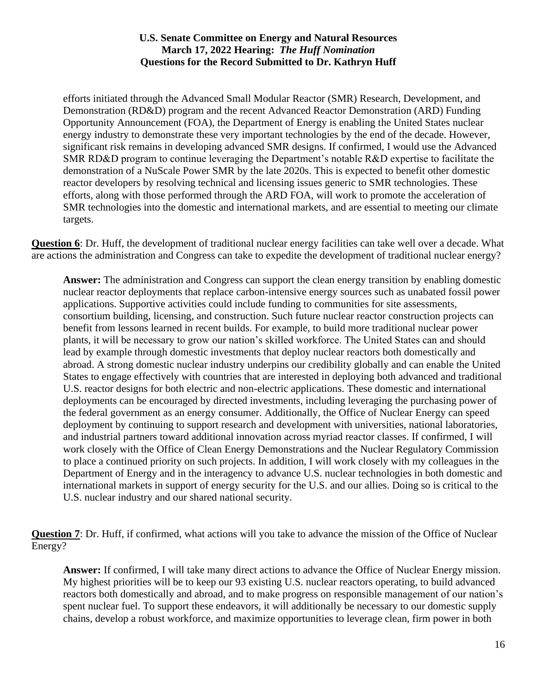efforts initiated through the Advanced Small Modular Reactor (SMR) Research, Development, and Demonstration (RD&D) program and the recent Advanced Reactor Demonstration (ARD) Funding Opportunity Announcement (FOA), the Department of Energy is enabling the United States nuclear energy industry to demonstrate these very important technologies by the end of the decade. However, significant risk remains in developing advanced SMR designs. If confirmed, I would use the Advanced SMR RD&D program to continue leveraging the Department's notable R&D expertise to facilitate the demonstration of a NuScale Power SMR by the late 2020s. This is expected to benefit other domestic reactor developers by resolving technical and licensing issues generic to SMR technologies. These efforts, along with those performed through the ARD FOA, will work to promote the acceleration of SMR technologies into the domestic and international markets, and are essential to meeting our climate targets.

**Question 6**: Dr. Huff, the development of traditional nuclear energy facilities can take well over a decade. What are actions the administration and Congress can take to expedite the development of traditional nuclear energy?

**Answer:** The administration and Congress can support the clean energy transition by enabling domestic nuclear reactor deployments that replace carbon-intensive energy sources such as unabated fossil power applications. Supportive activities could include funding to communities for site assessments, consortium building, licensing, and construction. Such future nuclear reactor construction projects can benefit from lessons learned in recent builds. For example, to build more traditional nuclear power plants, it will be necessary to grow our nation's skilled workforce. The United States can and should lead by example through domestic investments that deploy nuclear reactors both domestically and abroad. A strong domestic nuclear industry underpins our credibility globally and can enable the United States to engage effectively with countries that are interested in deploying both advanced and traditional U.S. reactor designs for both electric and non-electric applications. These domestic and international deployments can be encouraged by directed investments, including leveraging the purchasing power of the federal government as an energy consumer. Additionally, the Office of Nuclear Energy can speed deployment by continuing to support research and development with universities, national laboratories, and industrial partners toward additional innovation across myriad reactor classes. If confirmed, I will work closely with the Office of Clean Energy Demonstrations and the Nuclear Regulatory Commission to place a continued priority on such projects. In addition, I will work closely with my colleagues in the Department of Energy and in the interagency to advance U.S. nuclear technologies in both domestic and international markets in support of energy security for the U.S. and our allies. Doing so is critical to the U.S. nuclear industry and our shared national security.

**Question 7:** Dr. Huff, if confirmed, what actions will you take to advance the mission of the Office of Nuclear Energy?

**Answer:** If confirmed, I will take many direct actions to advance the Office of Nuclear Energy mission. My highest priorities will be to keep our 93 existing U.S. nuclear reactors operating, to build advanced reactors both domestically and abroad, and to make progress on responsible management of our nation's spent nuclear fuel. To support these endeavors, it will additionally be necessary to our domestic supply chains, develop a robust workforce, and maximize opportunities to leverage clean, firm power in both